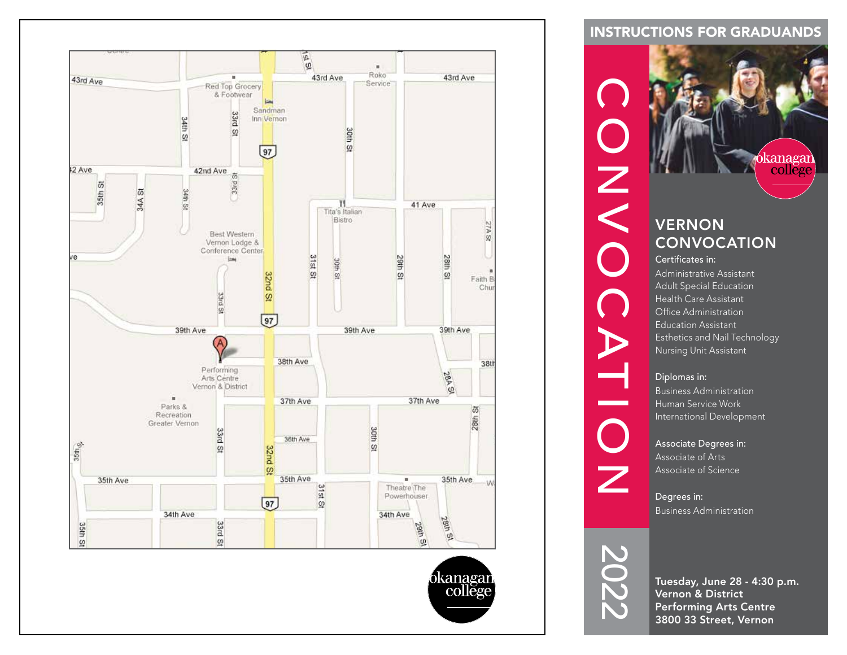

### INSTRUCTIONS FOR GRADUANDS



Degrees in: Business Administration



Tuesday, June 28 - 4:30 p.m. Vernon & District Performing Arts Centre 3800 33 Street, Vernon